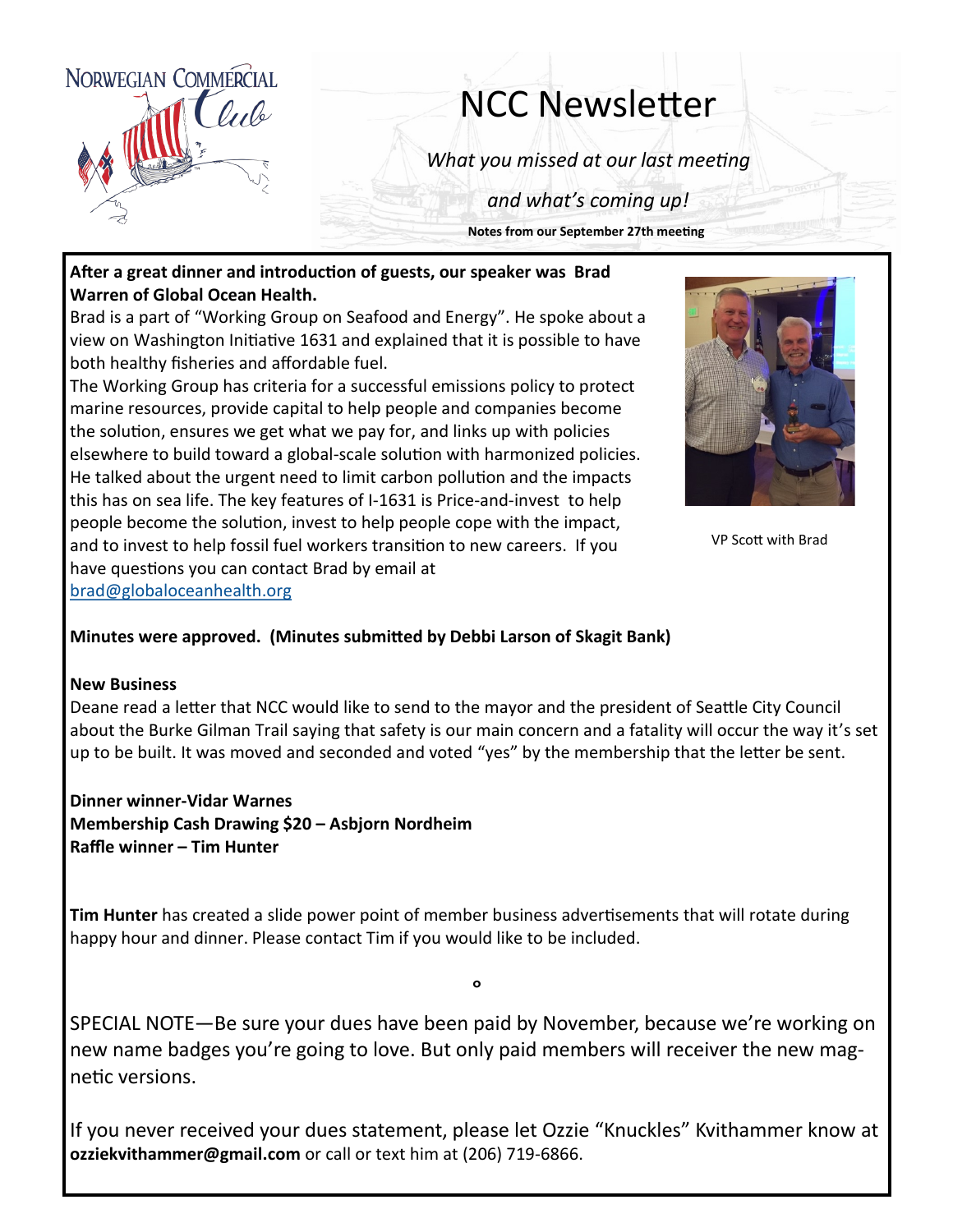

# NCC Newsletter

*What you missed at our last meeting*

*and what's coming up!*

**Notes from our September 27th meeting**

#### **After a great dinner and introduction of guests, our speaker was Brad Warren of Global Ocean Health.**

Brad is a part of "Working Group on Seafood and Energy". He spoke about a view on Washington Initiative 1631 and explained that it is possible to have both healthy fisheries and affordable fuel.

The Working Group has criteria for a successful emissions policy to protect marine resources, provide capital to help people and companies become the solution, ensures we get what we pay for, and links up with policies elsewhere to build toward a global-scale solution with harmonized policies. He talked about the urgent need to limit carbon pollution and the impacts this has on sea life. The key features of I-1631 is Price-and-invest to help people become the solution, invest to help people cope with the impact, and to invest to help fossil fuel workers transition to new careers. If you have questions you can contact Brad by email at [brad@globaloceanhealth.org](mailto:brad@globaloceanhealth.org)



VP Scott with Brad

#### **Minutes were approved. (Minutes submitted by Debbi Larson of Skagit Bank)**

#### **New Business**

Deane read a letter that NCC would like to send to the mayor and the president of Seattle City Council about the Burke Gilman Trail saying that safety is our main concern and a fatality will occur the way it's set up to be built. It was moved and seconded and voted "yes" by the membership that the letter be sent.

**Dinner winner-Vidar Warnes Membership Cash Drawing \$20 – Asbjorn Nordheim Raffle winner – Tim Hunter**

**Tim Hunter** has created a slide power point of member business advertisements that will rotate during happy hour and dinner. Please contact Tim if you would like to be included.

SPECIAL NOTE—Be sure your dues have been paid by November, because we're working on new name badges you're going to love. But only paid members will receiver the new magnetic versions.

°

If you never received your dues statement, please let Ozzie "Knuckles" Kvithammer know at **ozziekvithammer@gmail.com** or call or text him at (206) 719-6866.